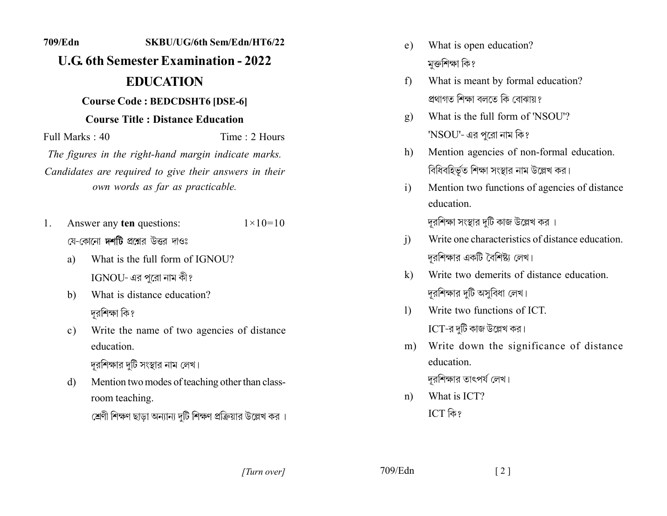## 709/Edn SKBU/UG/6th Sem/Edn/HT6/22 **U.G. 6th Semester Examination - 2022 EDUCATION Course Code: BEDCDSHT6 [DSE-6] Course Title: Distance Education** Full Marks  $\cdot$  40 Time  $: 2$  Hours The figures in the right-hand margin indicate marks. Candidates are required to give their answers in their own words as far as practicable. Answer any ten questions:  $1 \times 10 = 10$ 1. য়ে-কোনো **দশটি** প্রশ্নের উত্তর দাওঃ What is the full form of IGNOU? a) IGNOU- এর পুরো নাম কী? What is distance education? b) দুরশিক্ষা কি? Write the name of two agencies of distance  $c)$ education দুরশিক্ষার দুটি সংস্থার নাম লেখ। Mention two modes of teaching other than classd) room teaching. শ্রেণী শিক্ষণ ছাডা অন্যান্য দটি শিক্ষণ প্রক্রিয়ার উল্লেখ কর ।

- What is open education?  $e)$ মুক্তশিক্ষা কি?
- What is meant by formal education?  $f$ প্ৰথাগত শিক্ষা বলতে কি বোঝায় ?
- What is the full form of 'NSOU'?  $\mathbf{g}$ ) 'NSOU'- এর পরো নাম কি?
- Mention agencies of non-formal education. h) বিধিবহির্ভূত শিক্ষা সংস্থার নাম উল্লেখ কর।
- Mention two functions of agencies of distance  $\mathbf{i}$ education. দরশিক্ষা সংস্থার দটি কাজ উল্লেখ কর ।
- Write one characteristics of distance education.  $\ddot{1}$ দুরশিক্ষার একটি বৈশিষ্ট্য লেখ।
- Write two demerits of distance education  $\mathbf{k}$ দুরশিক্ষার দুটি অসুবিধা লেখ।
- Write two functions of ICT  $\mathbf{D}$  $ICT$ -র দুটি কাজ উল্লেখ কর।
- Write down the significance of distance  $m)$ education.

দুরশিক্ষার তাৎপর্য লেখ।

What is ICT?  $n)$ ICT কি?